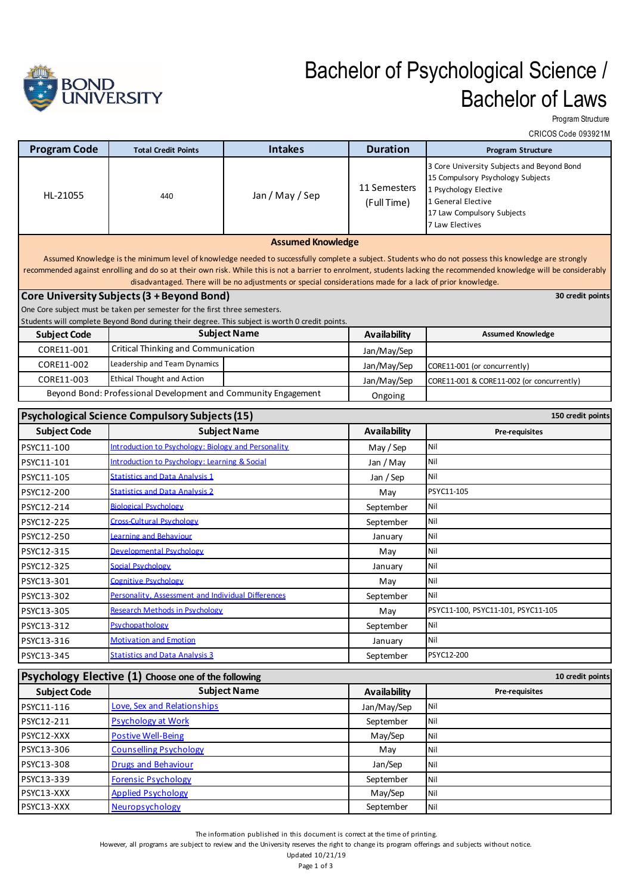

## Bachelor of Psychological Science / Bachelor of Laws

Program Structure

|                                                                                                                                                                                                                                                                                                                                                                                                                                             | CRICOS Code 093921M                                                        |                                                                                                                       |                             |                                                                                                                                                                                 |  |  |  |
|---------------------------------------------------------------------------------------------------------------------------------------------------------------------------------------------------------------------------------------------------------------------------------------------------------------------------------------------------------------------------------------------------------------------------------------------|----------------------------------------------------------------------------|-----------------------------------------------------------------------------------------------------------------------|-----------------------------|---------------------------------------------------------------------------------------------------------------------------------------------------------------------------------|--|--|--|
| <b>Program Code</b>                                                                                                                                                                                                                                                                                                                                                                                                                         | <b>Total Credit Points</b>                                                 | <b>Intakes</b>                                                                                                        | <b>Duration</b>             | <b>Program Structure</b>                                                                                                                                                        |  |  |  |
| HL-21055                                                                                                                                                                                                                                                                                                                                                                                                                                    | 440                                                                        | Jan / May / Sep                                                                                                       | 11 Semesters<br>(Full Time) | 3 Core University Subjects and Beyond Bond<br>15 Compulsory Psychology Subjects<br>1 Psychology Elective<br>1 General Elective<br>17 Law Compulsory Subjects<br>7 Law Electives |  |  |  |
|                                                                                                                                                                                                                                                                                                                                                                                                                                             |                                                                            | <b>Assumed Knowledge</b>                                                                                              |                             |                                                                                                                                                                                 |  |  |  |
| Assumed Knowledge is the minimum level of knowledge needed to successfully complete a subject. Students who do not possess this knowledge are strongly<br>recommended against enrolling and do so at their own risk. While this is not a barrier to enrolment, students lacking the recommended knowledge will be considerably<br>disadvantaged. There will be no adjustments or special considerations made for a lack of prior knowledge. |                                                                            |                                                                                                                       |                             |                                                                                                                                                                                 |  |  |  |
|                                                                                                                                                                                                                                                                                                                                                                                                                                             | Core University Subjects (3 + Beyond Bond)                                 |                                                                                                                       |                             | 30 credit points                                                                                                                                                                |  |  |  |
|                                                                                                                                                                                                                                                                                                                                                                                                                                             | One Core subject must be taken per semester for the first three semesters. |                                                                                                                       |                             |                                                                                                                                                                                 |  |  |  |
| <b>Subject Code</b>                                                                                                                                                                                                                                                                                                                                                                                                                         |                                                                            | Students will complete Beyond Bond during their degree. This subject is worth 0 credit points.<br><b>Subject Name</b> | <b>Availability</b>         | <b>Assumed Knowledge</b>                                                                                                                                                        |  |  |  |
| CORE11-001                                                                                                                                                                                                                                                                                                                                                                                                                                  | <b>Critical Thinking and Communication</b>                                 |                                                                                                                       |                             |                                                                                                                                                                                 |  |  |  |
| CORE11-002                                                                                                                                                                                                                                                                                                                                                                                                                                  | Leadership and Team Dynamics                                               |                                                                                                                       | Jan/May/Sep                 |                                                                                                                                                                                 |  |  |  |
| CORE11-003                                                                                                                                                                                                                                                                                                                                                                                                                                  | <b>Ethical Thought and Action</b>                                          |                                                                                                                       | Jan/May/Sep                 | CORE11-001 (or concurrently)                                                                                                                                                    |  |  |  |
|                                                                                                                                                                                                                                                                                                                                                                                                                                             | Beyond Bond: Professional Development and Community Engagement             |                                                                                                                       | Jan/May/Sep                 | CORE11-001 & CORE11-002 (or concurrently)                                                                                                                                       |  |  |  |
|                                                                                                                                                                                                                                                                                                                                                                                                                                             |                                                                            |                                                                                                                       | Ongoing                     |                                                                                                                                                                                 |  |  |  |
| <b>Psychological Science Compulsory Subjects (15)</b><br>150 credit points                                                                                                                                                                                                                                                                                                                                                                  |                                                                            |                                                                                                                       |                             |                                                                                                                                                                                 |  |  |  |
| <b>Subject Code</b>                                                                                                                                                                                                                                                                                                                                                                                                                         |                                                                            | <b>Subject Name</b>                                                                                                   | <b>Availability</b>         | Pre-requisites                                                                                                                                                                  |  |  |  |
| PSYC11-100                                                                                                                                                                                                                                                                                                                                                                                                                                  | Introduction to Psychology: Biology and Personality                        |                                                                                                                       | May / Sep                   | Nil                                                                                                                                                                             |  |  |  |
| PSYC11-101                                                                                                                                                                                                                                                                                                                                                                                                                                  | Introduction to Psychology: Learning & Social                              |                                                                                                                       | Jan / May                   | Nil                                                                                                                                                                             |  |  |  |
| PSYC11-105                                                                                                                                                                                                                                                                                                                                                                                                                                  | <b>Statistics and Data Analysis 1</b>                                      |                                                                                                                       | Jan / Sep                   | Nil                                                                                                                                                                             |  |  |  |
| PSYC12-200                                                                                                                                                                                                                                                                                                                                                                                                                                  | <b>Statistics and Data Analysis 2</b>                                      |                                                                                                                       | May                         | PSYC11-105                                                                                                                                                                      |  |  |  |
| PSYC12-214                                                                                                                                                                                                                                                                                                                                                                                                                                  | <b>Biological Psychology</b>                                               |                                                                                                                       | September                   | Nil                                                                                                                                                                             |  |  |  |
| PSYC12-225                                                                                                                                                                                                                                                                                                                                                                                                                                  | <b>Cross-Cultural Psychology</b>                                           |                                                                                                                       | September                   | Nil                                                                                                                                                                             |  |  |  |
| PSYC12-250                                                                                                                                                                                                                                                                                                                                                                                                                                  | Learning and Behaviour                                                     |                                                                                                                       | January                     | Nil                                                                                                                                                                             |  |  |  |
| PSYC12-315                                                                                                                                                                                                                                                                                                                                                                                                                                  | Developmental Psychology                                                   |                                                                                                                       | May                         | Nil                                                                                                                                                                             |  |  |  |
| PSYC12-325                                                                                                                                                                                                                                                                                                                                                                                                                                  | Social Psychology                                                          |                                                                                                                       | January                     | Nil                                                                                                                                                                             |  |  |  |
| PSYC13-301                                                                                                                                                                                                                                                                                                                                                                                                                                  | Cognitive Psychology                                                       |                                                                                                                       | May                         | Nil                                                                                                                                                                             |  |  |  |
| PSYC13-302                                                                                                                                                                                                                                                                                                                                                                                                                                  | Personality. Assessment and Individual Differences                         |                                                                                                                       | September                   | Nil                                                                                                                                                                             |  |  |  |
| PSYC13-305                                                                                                                                                                                                                                                                                                                                                                                                                                  | <b>Research Methods in Psychology</b>                                      |                                                                                                                       | May                         | PSYC11-100, PSYC11-101, PSYC11-105                                                                                                                                              |  |  |  |
| PSYC13-312                                                                                                                                                                                                                                                                                                                                                                                                                                  | Psychopathology                                                            |                                                                                                                       | September                   | Nil                                                                                                                                                                             |  |  |  |
| PSYC13-316                                                                                                                                                                                                                                                                                                                                                                                                                                  | <b>Motivation and Emotion</b>                                              |                                                                                                                       | January                     | Nil                                                                                                                                                                             |  |  |  |
| PSYC13-345                                                                                                                                                                                                                                                                                                                                                                                                                                  | <b>Statistics and Data Analysis 3</b>                                      |                                                                                                                       | September                   | PSYC12-200                                                                                                                                                                      |  |  |  |
| Psychology Elective (1) Choose one of the following<br>10 credit points                                                                                                                                                                                                                                                                                                                                                                     |                                                                            |                                                                                                                       |                             |                                                                                                                                                                                 |  |  |  |
| <b>Subject Code</b>                                                                                                                                                                                                                                                                                                                                                                                                                         |                                                                            | <b>Subject Name</b>                                                                                                   | <b>Availability</b>         | Pre-requisites                                                                                                                                                                  |  |  |  |
| PSYC11-116                                                                                                                                                                                                                                                                                                                                                                                                                                  | Love, Sex and Relationships                                                |                                                                                                                       | Jan/May/Sep                 | Nil                                                                                                                                                                             |  |  |  |
| PSYC12-211                                                                                                                                                                                                                                                                                                                                                                                                                                  | <b>Psychology at Work</b>                                                  |                                                                                                                       | September                   | Nil                                                                                                                                                                             |  |  |  |
| PSYC12-XXX                                                                                                                                                                                                                                                                                                                                                                                                                                  | <b>Postive Well-Being</b>                                                  |                                                                                                                       | May/Sep                     | Nil                                                                                                                                                                             |  |  |  |
| PSYC13-306                                                                                                                                                                                                                                                                                                                                                                                                                                  | <b>Counselling Psychology</b>                                              |                                                                                                                       | May                         | Nil                                                                                                                                                                             |  |  |  |
| PSYC13-308                                                                                                                                                                                                                                                                                                                                                                                                                                  | <b>Drugs and Behaviour</b>                                                 |                                                                                                                       | Jan/Sep                     | Nil                                                                                                                                                                             |  |  |  |
| PSYC13-339                                                                                                                                                                                                                                                                                                                                                                                                                                  | <b>Forensic Psychology</b>                                                 |                                                                                                                       | September                   | Nil                                                                                                                                                                             |  |  |  |
| PSYC13-XXX                                                                                                                                                                                                                                                                                                                                                                                                                                  | <b>Applied Psychology</b>                                                  |                                                                                                                       | May/Sep                     | Nil                                                                                                                                                                             |  |  |  |
| PSYC13-XXX                                                                                                                                                                                                                                                                                                                                                                                                                                  | Neuropsychology                                                            |                                                                                                                       | September                   | Nil                                                                                                                                                                             |  |  |  |

The information published in this document is correct at the time of printing.

However, all programs are subject to review and the University reserves the right to change its program offerings and subjects without notice.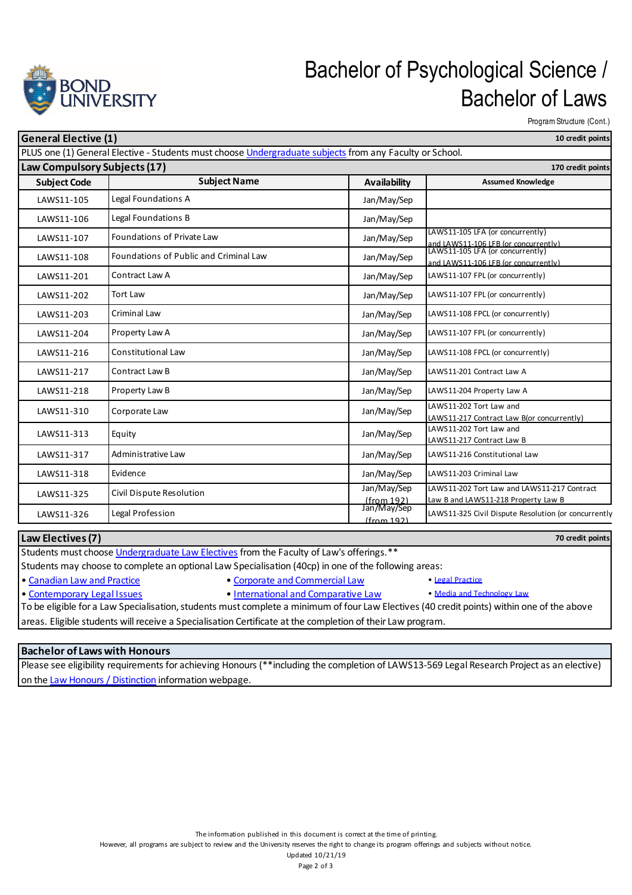

## Bachelor of Psychological Science / Bachelor of Laws

Program Structure (Cont.)

**70 credit points**

| <b>General Elective (1)</b><br>10 credit points                                                         |                                        |                              |                                                                                                                  |  |  |  |
|---------------------------------------------------------------------------------------------------------|----------------------------------------|------------------------------|------------------------------------------------------------------------------------------------------------------|--|--|--|
| PLUS one (1) General Elective - Students must choose Undergraduate subjects from any Faculty or School. |                                        |                              |                                                                                                                  |  |  |  |
| Law Compulsory Subjects (17)<br>170 credit points                                                       |                                        |                              |                                                                                                                  |  |  |  |
| <b>Subject Code</b>                                                                                     | <b>Subject Name</b>                    | <b>Availability</b>          | <b>Assumed Knowledge</b>                                                                                         |  |  |  |
| LAWS11-105                                                                                              | Legal Foundations A                    | Jan/May/Sep                  |                                                                                                                  |  |  |  |
| LAWS11-106                                                                                              | Legal Foundations B                    | Jan/May/Sep                  |                                                                                                                  |  |  |  |
| LAWS11-107                                                                                              | <b>Foundations of Private Law</b>      | Jan/May/Sep                  | LAWS11-105 LFA (or concurrently)                                                                                 |  |  |  |
| LAWS11-108                                                                                              | Foundations of Public and Criminal Law | Jan/May/Sep                  | and LAWS11-106 LFB (or concurrently)<br>LAWS11-105 LFA (or concurrently)<br>and LAWS11-106 LFB (or concurrently) |  |  |  |
| LAWS11-201                                                                                              | Contract Law A                         | Jan/May/Sep                  | LAWS11-107 FPL (or concurrently)                                                                                 |  |  |  |
| LAWS11-202                                                                                              | <b>Tort Law</b>                        | Jan/May/Sep                  | LAWS11-107 FPL (or concurrently)                                                                                 |  |  |  |
| LAWS11-203                                                                                              | Criminal Law                           | Jan/May/Sep                  | LAWS11-108 FPCL (or concurrently)                                                                                |  |  |  |
| LAWS11-204                                                                                              | Property Law A                         | Jan/May/Sep                  | LAWS11-107 FPL (or concurrently)                                                                                 |  |  |  |
| LAWS11-216                                                                                              | <b>Constitutional Law</b>              | Jan/May/Sep                  | LAWS11-108 FPCL (or concurrently)                                                                                |  |  |  |
| LAWS11-217                                                                                              | Contract Law B                         | Jan/May/Sep                  | LAWS11-201 Contract Law A                                                                                        |  |  |  |
| LAWS11-218                                                                                              | Property Law B                         | Jan/May/Sep                  | LAWS11-204 Property Law A                                                                                        |  |  |  |
| LAWS11-310                                                                                              | Corporate Law                          | Jan/May/Sep                  | LAWS11-202 Tort Law and<br>LAWS11-217 Contract Law B(or concurrently)                                            |  |  |  |
| LAWS11-313                                                                                              | Equity                                 | Jan/May/Sep                  | LAWS11-202 Tort Law and<br>LAWS11-217 Contract Law B                                                             |  |  |  |
| LAWS11-317                                                                                              | Administrative Law                     | Jan/May/Sep                  | LAWS11-216 Constitutional Law                                                                                    |  |  |  |
| LAWS11-318                                                                                              | Evidence                               | Jan/May/Sep                  | LAWS11-203 Criminal Law                                                                                          |  |  |  |
| LAWS11-325                                                                                              | Civil Dispute Resolution               | Jan/May/Sep<br>(from 192)    | LAWS11-202 Tort Law and LAWS11-217 Contract<br>Law B and LAWS11-218 Property Law B                               |  |  |  |
| LAWS11-326                                                                                              | Legal Profession                       | Jan/May/Sep<br>$If$ rom 1921 | LAWS11-325 Civil Dispute Resolution (or concurrently                                                             |  |  |  |

**Law Electives (7)**

Students must choose Undergraduate Law Electives from the Faculty of Law's offerings.\*\*

Students may choose to complete an optional Law Specialisation (40cp) in one of the following areas:

• Canadian Law and Practice • Corporate and Commercial Law • Legal Practice

- Contemporary Legal Issues International and Comparative Law Media and Technology Law
	-

To be eligible for a Law Specialisation, students must complete a minimum of four Law Electives (40 credit points) within one of the above areas. Eligible students will receive a Specialisation Certificate at the completion of their Law program.

## **Bachelor of Laws with Honours**

Please see eligibility requirements for achieving Honours (\*\*including the completion of LAWS13-569 Legal Research Project as an elective) on the Law Honours / Distinction information webpage.

However, all programs are subject to review and the University reserves the right to change its program offerings and subjects without notice.

Updated 10/21/19

Page 2 of 3